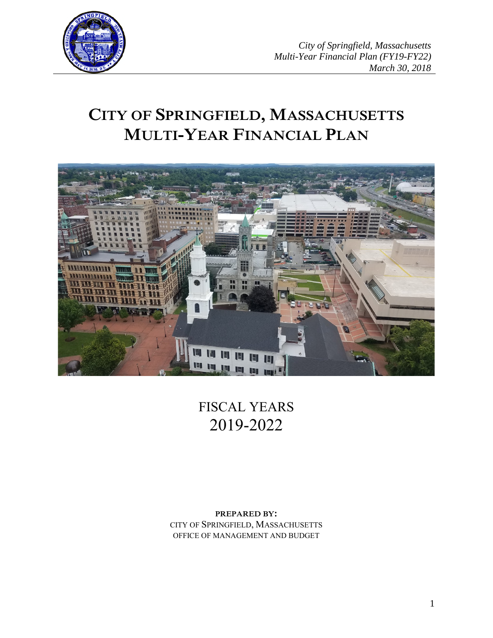

# **CITY OF SPRINGFIELD, MASSACHUSETTS MULTI-YEAR FINANCIAL PLAN**



FISCAL YEARS 2019-2022

**PREPARED BY:** CITY OF SPRINGFIELD, MASSACHUSETTS OFFICE OF MANAGEMENT AND BUDGET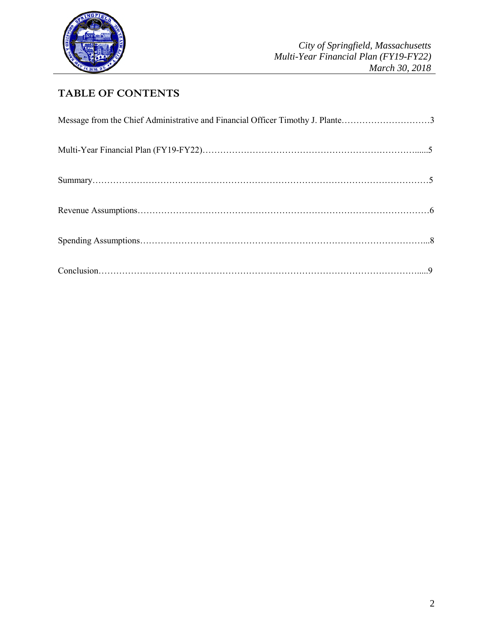

## **TABLE OF CONTENTS**

| Message from the Chief Administrative and Financial Officer Timothy J. Plante3 |  |
|--------------------------------------------------------------------------------|--|
|                                                                                |  |
|                                                                                |  |
|                                                                                |  |
|                                                                                |  |
|                                                                                |  |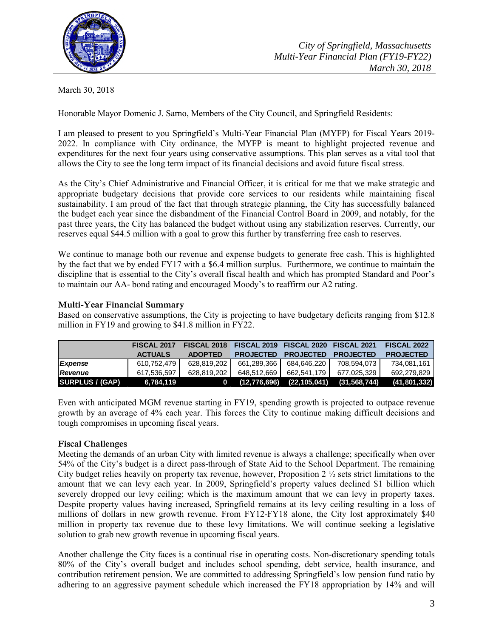

March 30, 2018

Honorable Mayor Domenic J. Sarno, Members of the City Council, and Springfield Residents:

I am pleased to present to you Springfield's Multi-Year Financial Plan (MYFP) for Fiscal Years 2019- 2022. In compliance with City ordinance, the MYFP is meant to highlight projected revenue and expenditures for the next four years using conservative assumptions. This plan serves as a vital tool that allows the City to see the long term impact of its financial decisions and avoid future fiscal stress.

As the City's Chief Administrative and Financial Officer, it is critical for me that we make strategic and appropriate budgetary decisions that provide core services to our residents while maintaining fiscal sustainability. I am proud of the fact that through strategic planning, the City has successfully balanced the budget each year since the disbandment of the Financial Control Board in 2009, and notably, for the past three years, the City has balanced the budget without using any stabilization reserves. Currently, our reserves equal \$44.5 million with a goal to grow this further by transferring free cash to reserves.

We continue to manage both our revenue and expense budgets to generate free cash. This is highlighted by the fact that we by ended FY17 with a \$6.4 million surplus. Furthermore, we continue to maintain the discipline that is essential to the City's overall fiscal health and which has prompted Standard and Poor's to maintain our AA- bond rating and encouraged Moody's to reaffirm our A2 rating.

#### **Multi-Year Financial Summary**

Based on conservative assumptions, the City is projecting to have budgetary deficits ranging from \$12.8 million in FY19 and growing to \$41.8 million in FY22.

|                        | FISCAL 2017    |                | FISCAL 2018 FISCAL 2019 FISCAL 2020 FISCAL 2021 |                  |                  | <b>FISCAL 2022</b> |
|------------------------|----------------|----------------|-------------------------------------------------|------------------|------------------|--------------------|
|                        | <b>ACTUALS</b> | <b>ADOPTED</b> | <b>PROJECTED</b>                                | <b>PROJECTED</b> | <b>PROJECTED</b> | <b>PROJECTED</b>   |
| Expense                | 610.752.479    | 628.819.202    | 661.289.366                                     | 684.646.220 I    | 708.594.073 l    | 734.081.161        |
| Revenue                | 617.536.597    | 628.819.202    | 648.512.669                                     | 662.541.179      | 677.025.329      | 692.279.829        |
| <b>SURPLUS / (GAP)</b> | 6.784.119      | 0              | (12,776,696)                                    | (22,105,041)     | (31, 568, 744)   | (41, 801, 332)     |

Even with anticipated MGM revenue starting in FY19, spending growth is projected to outpace revenue growth by an average of 4% each year. This forces the City to continue making difficult decisions and tough compromises in upcoming fiscal years.

#### **Fiscal Challenges**

Meeting the demands of an urban City with limited revenue is always a challenge; specifically when over 54% of the City's budget is a direct pass-through of State Aid to the School Department. The remaining City budget relies heavily on property tax revenue, however, Proposition 2  $\frac{1}{2}$  sets strict limitations to the amount that we can levy each year. In 2009, Springfield's property values declined \$1 billion which severely dropped our levy ceiling; which is the maximum amount that we can levy in property taxes. Despite property values having increased, Springfield remains at its levy ceiling resulting in a loss of millions of dollars in new growth revenue. From FY12-FY18 alone, the City lost approximately \$40 million in property tax revenue due to these levy limitations. We will continue seeking a legislative solution to grab new growth revenue in upcoming fiscal years.

Another challenge the City faces is a continual rise in operating costs. Non-discretionary spending totals 80% of the City's overall budget and includes school spending, debt service, health insurance, and contribution retirement pension. We are committed to addressing Springfield's low pension fund ratio by adhering to an aggressive payment schedule which increased the FY18 appropriation by 14% and will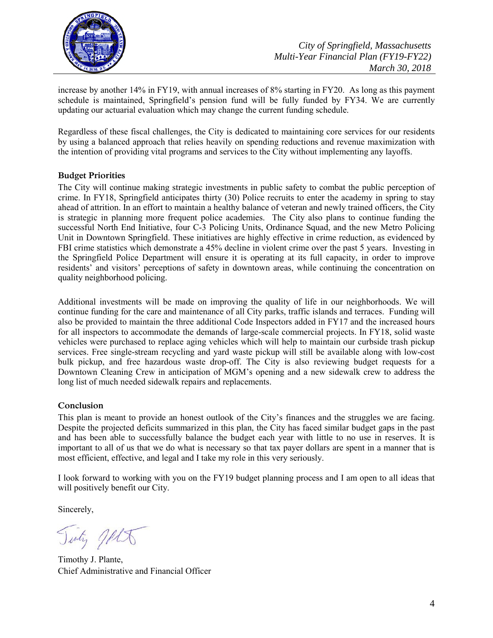

increase by another 14% in FY19, with annual increases of 8% starting in FY20. As long as this payment schedule is maintained, Springfield's pension fund will be fully funded by FY34. We are currently updating our actuarial evaluation which may change the current funding schedule.

Regardless of these fiscal challenges, the City is dedicated to maintaining core services for our residents by using a balanced approach that relies heavily on spending reductions and revenue maximization with the intention of providing vital programs and services to the City without implementing any layoffs.

#### **Budget Priorities**

The City will continue making strategic investments in public safety to combat the public perception of crime. In FY18, Springfield anticipates thirty (30) Police recruits to enter the academy in spring to stay ahead of attrition. In an effort to maintain a healthy balance of veteran and newly trained officers, the City is strategic in planning more frequent police academies. The City also plans to continue funding the successful North End Initiative, four C-3 Policing Units, Ordinance Squad, and the new Metro Policing Unit in Downtown Springfield. These initiatives are highly effective in crime reduction, as evidenced by FBI crime statistics which demonstrate a 45% decline in violent crime over the past 5 years. Investing in the Springfield Police Department will ensure it is operating at its full capacity, in order to improve residents' and visitors' perceptions of safety in downtown areas, while continuing the concentration on quality neighborhood policing.

Additional investments will be made on improving the quality of life in our neighborhoods. We will continue funding for the care and maintenance of all City parks, traffic islands and terraces. Funding will also be provided to maintain the three additional Code Inspectors added in FY17 and the increased hours for all inspectors to accommodate the demands of large-scale commercial projects. In FY18, solid waste vehicles were purchased to replace aging vehicles which will help to maintain our curbside trash pickup services. Free single-stream recycling and yard waste pickup will still be available along with low-cost bulk pickup, and free hazardous waste drop-off. The City is also reviewing budget requests for a Downtown Cleaning Crew in anticipation of MGM's opening and a new sidewalk crew to address the long list of much needed sidewalk repairs and replacements.

#### **Conclusion**

This plan is meant to provide an honest outlook of the City's finances and the struggles we are facing. Despite the projected deficits summarized in this plan, the City has faced similar budget gaps in the past and has been able to successfully balance the budget each year with little to no use in reserves. It is important to all of us that we do what is necessary so that tax payer dollars are spent in a manner that is most efficient, effective, and legal and I take my role in this very seriously.

I look forward to working with you on the FY19 budget planning process and I am open to all ideas that will positively benefit our City.

Sincerely,

July JALA

Timothy J. Plante, Chief Administrative and Financial Officer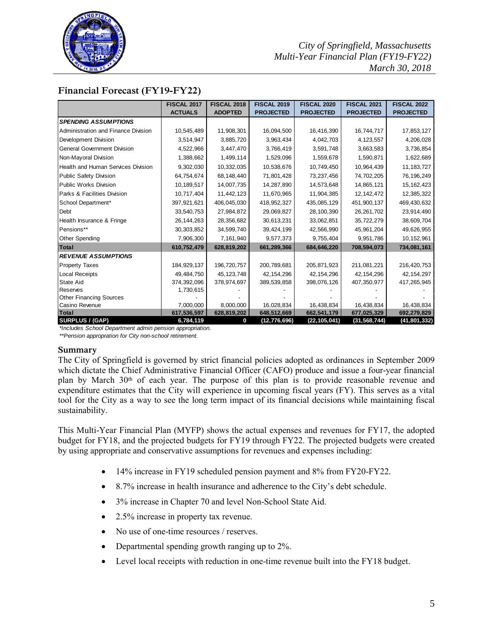

### **Financial Forecast (FY19-FY22)**

|                                           | <b>FISCAL 2017</b> | <b>FISCAL 2018</b> | <b>FISCAL 2019</b> | <b>FISCAL 2020</b> | <b>FISCAL 2021</b> | <b>FISCAL 2022</b> |
|-------------------------------------------|--------------------|--------------------|--------------------|--------------------|--------------------|--------------------|
|                                           | <b>ACTUALS</b>     | <b>ADOPTED</b>     | <b>PROJECTED</b>   | <b>PROJECTED</b>   | <b>PROJECTED</b>   | <b>PROJECTED</b>   |
| <b>SPENDING ASSUMPTIONS</b>               |                    |                    |                    |                    |                    |                    |
| Administration and Finance Division       | 10,545,489         | 11,908,301         | 16,094,500         | 16,416,390         | 16,744,717         | 17,853,127         |
| Development Division                      | 3,514,947          | 3,885,720          | 3,963,434          | 4,042,703          | 4,123,557          | 4,206,028          |
| <b>General Government Division</b>        | 4,522,966          | 3,447,470          | 3,766,419          | 3,591,748          | 3,663,583          | 3,736,854          |
| Non-Mayoral Division                      | 1,388,662          | 1,499,114          | 1,529,096          | 1,559,678          | 1,590,871          | 1,622,689          |
| <b>Health and Human Services Division</b> | 9,302,030          | 10,332,035         | 10,538,676         | 10,749,450         | 10,964,439         | 11, 183, 727       |
| Public Safety Division                    | 64,754,674         | 68,148,440         | 71,801,428         | 73,237,456         | 74,702,205         | 76,196,249         |
| Public Works Division                     | 10,189,517         | 14,007,735         | 14,287,890         | 14,573,648         | 14,865,121         | 15, 162, 423       |
| <b>Parks &amp; Facilities Division</b>    | 10,717,404         | 11,442,123         | 11,670,965         | 11,904,385         | 12, 142, 472       | 12,385,322         |
| School Department*                        | 397,921,621        | 406,045,030        | 418,952,327        | 435,085,129        | 451,900,137        | 469,430,632        |
| Debt                                      | 33,540,753         | 27,984,872         | 29,069,827         | 28,100,390         | 26, 261, 702       | 23,914,490         |
| Health Insurance & Fringe                 | 26, 144, 263       | 28,356,682         | 30,613,231         | 33,062,851         | 35,722,279         | 38,609,704         |
| Pensions**                                | 30, 303, 852       | 34,599,740         | 39,424,199         | 42,566,990         | 45,961,204         | 49,626,955         |
| <b>Other Spending</b>                     | 7,906,300          | 7,161,940          | 9,577,373          | 9,755,404          | 9,951,786          | 10,152,961         |
| Total                                     | 610,752,479        | 628,819,202        | 661,289,366        | 684,646,220        | 708,594,073        | 734,081,161        |
| <b>REVENUE ASSUMPTIONS</b>                |                    |                    |                    |                    |                    |                    |
| <b>Property Taxes</b>                     | 184,929,137        | 196,720,757        | 200,789,681        | 205,871,923        | 211,081,221        | 216,420,753        |
| <b>Local Receipts</b>                     | 49,484,750         | 45,123,748         | 42, 154, 296       | 42, 154, 296       | 42, 154, 296       | 42, 154, 297       |
| <b>State Aid</b>                          | 374,392,096        | 378,974,697        | 389,539,858        | 398,076,126        | 407,350,977        | 417,265,945        |
| <b>Reserves</b>                           | 1,730,615          |                    |                    |                    |                    |                    |
| <b>Other Financing Sources</b>            |                    |                    |                    |                    |                    |                    |
| Casino Revenue                            | 7,000,000          | 8,000,000          | 16,028,834         | 16,438,834         | 16,438,834         | 16,438,834         |
| Total                                     | 617,536,597        | 628,819,202        | 648,512,669        | 662,541,179        | 677,025,329        | 692,279,829        |
| <b>SURPLUS / (GAP)</b>                    | 6,784,119          | 0                  | (12,776,696)       | (22,105,041)       | (31, 568, 744)     | (41, 801, 332)     |

*\*Includes School Department admin pension appropriation.*

*\*\*Pension appropration for City non-school retirement.* 

#### **Summary**

The City of Springfield is governed by strict financial policies adopted as ordinances in September 2009 which dictate the Chief Administrative Financial Officer (CAFO) produce and issue a four-year financial plan by March 30th of each year. The purpose of this plan is to provide reasonable revenue and expenditure estimates that the City will experience in upcoming fiscal years (FY). This serves as a vital tool for the City as a way to see the long term impact of its financial decisions while maintaining fiscal sustainability.

This Multi-Year Financial Plan (MYFP) shows the actual expenses and revenues for FY17, the adopted budget for FY18, and the projected budgets for FY19 through FY22. The projected budgets were created by using appropriate and conservative assumptions for revenues and expenses including:

- 14% increase in FY19 scheduled pension payment and 8% from FY20-FY22.
- 8.7% increase in health insurance and adherence to the City's debt schedule.
- 3% increase in Chapter 70 and level Non-School State Aid.
- 2.5% increase in property tax revenue.
- No use of one-time resources / reserves.
- Departmental spending growth ranging up to 2%.
- Level local receipts with reduction in one-time revenue built into the FY18 budget.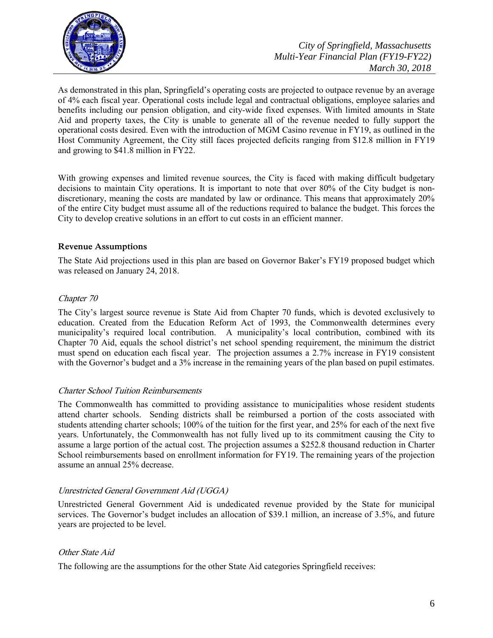

As demonstrated in this plan, Springfield's operating costs are projected to outpace revenue by an average of 4% each fiscal year. Operational costs include legal and contractual obligations, employee salaries and benefits including our pension obligation, and city-wide fixed expenses. With limited amounts in State Aid and property taxes, the City is unable to generate all of the revenue needed to fully support the operational costs desired. Even with the introduction of MGM Casino revenue in FY19, as outlined in the Host Community Agreement, the City still faces projected deficits ranging from \$12.8 million in FY19 and growing to \$41.8 million in FY22.

With growing expenses and limited revenue sources, the City is faced with making difficult budgetary decisions to maintain City operations. It is important to note that over 80% of the City budget is nondiscretionary, meaning the costs are mandated by law or ordinance. This means that approximately 20% of the entire City budget must assume all of the reductions required to balance the budget. This forces the City to develop creative solutions in an effort to cut costs in an efficient manner.

#### **Revenue Assumptions**

The State Aid projections used in this plan are based on Governor Baker's FY19 proposed budget which was released on January 24, 2018.

#### Chapter 70

The City's largest source revenue is State Aid from Chapter 70 funds, which is devoted exclusively to education. Created from the Education Reform Act of 1993, the Commonwealth determines every municipality's required local contribution. A municipality's local contribution, combined with its Chapter 70 Aid, equals the school district's net school spending requirement, the minimum the district must spend on education each fiscal year. The projection assumes a 2.7% increase in FY19 consistent with the Governor's budget and a 3% increase in the remaining years of the plan based on pupil estimates.

#### Charter School Tuition Reimbursements

The Commonwealth has committed to providing assistance to municipalities whose resident students attend charter schools. Sending districts shall be reimbursed a portion of the costs associated with students attending charter schools; 100% of the tuition for the first year, and 25% for each of the next five years. Unfortunately, the Commonwealth has not fully lived up to its commitment causing the City to assume a large portion of the actual cost. The projection assumes a \$252.8 thousand reduction in Charter School reimbursements based on enrollment information for FY19. The remaining years of the projection assume an annual 25% decrease.

#### Unrestricted General Government Aid (UGGA)

Unrestricted General Government Aid is undedicated revenue provided by the State for municipal services. The Governor's budget includes an allocation of \$39.1 million, an increase of 3.5%, and future years are projected to be level.

#### Other State Aid

The following are the assumptions for the other State Aid categories Springfield receives: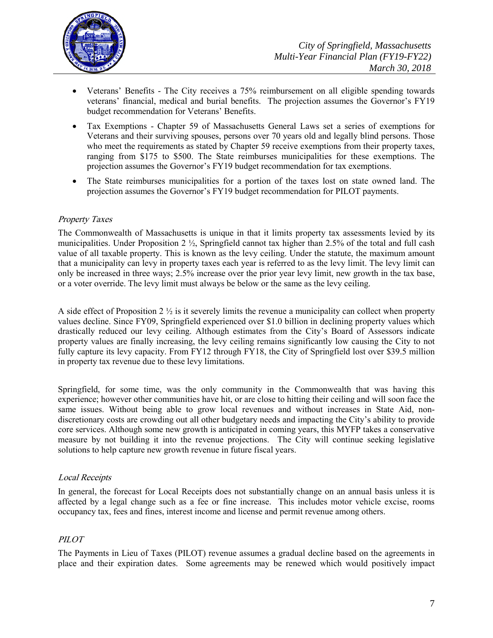

- Veterans' Benefits The City receives a 75% reimbursement on all eligible spending towards veterans' financial, medical and burial benefits. The projection assumes the Governor's FY19 budget recommendation for Veterans' Benefits.
- Tax Exemptions Chapter 59 of Massachusetts General Laws set a series of exemptions for Veterans and their surviving spouses, persons over 70 years old and legally blind persons. Those who meet the requirements as stated by Chapter 59 receive exemptions from their property taxes, ranging from \$175 to \$500. The State reimburses municipalities for these exemptions. The projection assumes the Governor's FY19 budget recommendation for tax exemptions.
- The State reimburses municipalities for a portion of the taxes lost on state owned land. The projection assumes the Governor's FY19 budget recommendation for PILOT payments.

#### Property Taxes

The Commonwealth of Massachusetts is unique in that it limits property tax assessments levied by its municipalities. Under Proposition 2  $\frac{1}{2}$ , Springfield cannot tax higher than 2.5% of the total and full cash value of all taxable property. This is known as the levy ceiling. Under the statute, the maximum amount that a municipality can levy in property taxes each year is referred to as the levy limit. The levy limit can only be increased in three ways; 2.5% increase over the prior year levy limit, new growth in the tax base, or a voter override. The levy limit must always be below or the same as the levy ceiling.

A side effect of Proposition 2 ½ is it severely limits the revenue a municipality can collect when property values decline. Since FY09, Springfield experienced over \$1.0 billion in declining property values which drastically reduced our levy ceiling. Although estimates from the City's Board of Assessors indicate property values are finally increasing, the levy ceiling remains significantly low causing the City to not fully capture its levy capacity. From FY12 through FY18, the City of Springfield lost over \$39.5 million in property tax revenue due to these levy limitations.

Springfield, for some time, was the only community in the Commonwealth that was having this experience; however other communities have hit, or are close to hitting their ceiling and will soon face the same issues. Without being able to grow local revenues and without increases in State Aid, nondiscretionary costs are crowding out all other budgetary needs and impacting the City's ability to provide core services. Although some new growth is anticipated in coming years, this MYFP takes a conservative measure by not building it into the revenue projections. The City will continue seeking legislative solutions to help capture new growth revenue in future fiscal years.

#### Local Receipts

In general, the forecast for Local Receipts does not substantially change on an annual basis unless it is affected by a legal change such as a fee or fine increase. This includes motor vehicle excise, rooms occupancy tax, fees and fines, interest income and license and permit revenue among others.

#### PILOT

The Payments in Lieu of Taxes (PILOT) revenue assumes a gradual decline based on the agreements in place and their expiration dates. Some agreements may be renewed which would positively impact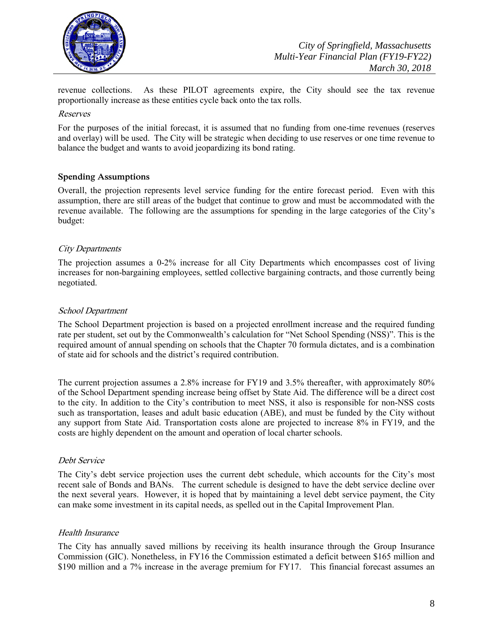

revenue collections. As these PILOT agreements expire, the City should see the tax revenue proportionally increase as these entities cycle back onto the tax rolls.

#### Reserves

For the purposes of the initial forecast, it is assumed that no funding from one-time revenues (reserves and overlay) will be used. The City will be strategic when deciding to use reserves or one time revenue to balance the budget and wants to avoid jeopardizing its bond rating.

#### **Spending Assumptions**

Overall, the projection represents level service funding for the entire forecast period. Even with this assumption, there are still areas of the budget that continue to grow and must be accommodated with the revenue available. The following are the assumptions for spending in the large categories of the City's budget:

#### City Departments

The projection assumes a 0-2% increase for all City Departments which encompasses cost of living increases for non-bargaining employees, settled collective bargaining contracts, and those currently being negotiated.

#### School Department

The School Department projection is based on a projected enrollment increase and the required funding rate per student, set out by the Commonwealth's calculation for "Net School Spending (NSS)". This is the required amount of annual spending on schools that the Chapter 70 formula dictates, and is a combination of state aid for schools and the district's required contribution.

The current projection assumes a 2.8% increase for FY19 and 3.5% thereafter, with approximately 80% of the School Department spending increase being offset by State Aid. The difference will be a direct cost to the city. In addition to the City's contribution to meet NSS, it also is responsible for non-NSS costs such as transportation, leases and adult basic education (ABE), and must be funded by the City without any support from State Aid. Transportation costs alone are projected to increase 8% in FY19, and the costs are highly dependent on the amount and operation of local charter schools.

#### Debt Service

The City's debt service projection uses the current debt schedule, which accounts for the City's most recent sale of Bonds and BANs. The current schedule is designed to have the debt service decline over the next several years. However, it is hoped that by maintaining a level debt service payment, the City can make some investment in its capital needs, as spelled out in the Capital Improvement Plan.

#### Health Insurance

The City has annually saved millions by receiving its health insurance through the Group Insurance Commission (GIC). Nonetheless, in FY16 the Commission estimated a deficit between \$165 million and \$190 million and a 7% increase in the average premium for FY17. This financial forecast assumes an